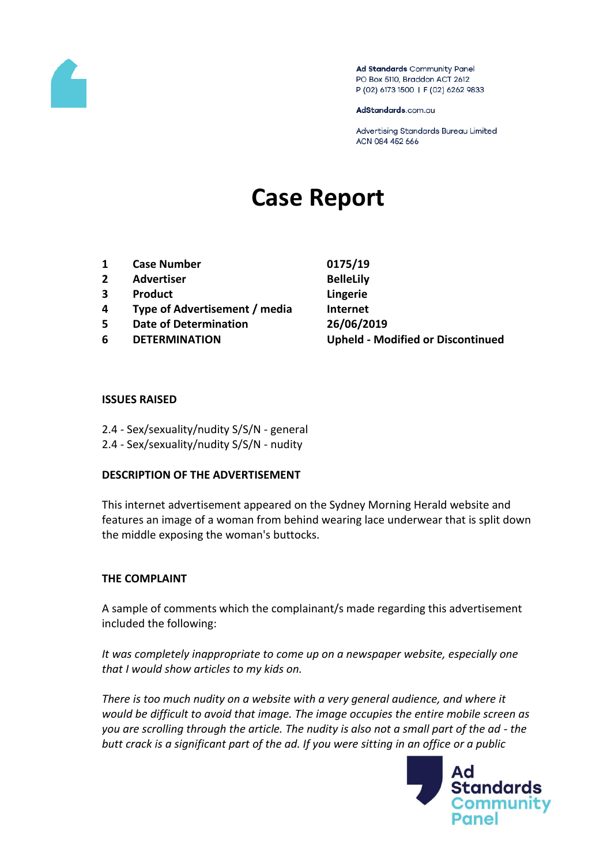

Ad Standards Community Panel PO Box 5110, Braddon ACT 2612 P (02) 6173 1500 | F (02) 6262 9833

AdStandards.com.au

Advertising Standards Bureau Limited ACN 084 452 666

# **Case Report**

- **1 Case Number 0175/19**
- **2 Advertiser BelleLily**
- **3 Product Lingerie**
- **4 Type of Advertisement / media Internet**
- **5 Date of Determination 26/06/2019**
- 

**6 DETERMINATION Upheld - Modified or Discontinued**

### **ISSUES RAISED**

- 2.4 Sex/sexuality/nudity S/S/N general
- 2.4 Sex/sexuality/nudity S/S/N nudity

# **DESCRIPTION OF THE ADVERTISEMENT**

This internet advertisement appeared on the Sydney Morning Herald website and features an image of a woman from behind wearing lace underwear that is split down the middle exposing the woman's buttocks.

# **THE COMPLAINT**

A sample of comments which the complainant/s made regarding this advertisement included the following:

*It was completely inappropriate to come up on a newspaper website, especially one that I would show articles to my kids on.*

*There is too much nudity on a website with a very general audience, and where it would be difficult to avoid that image. The image occupies the entire mobile screen as you are scrolling through the article. The nudity is also not a small part of the ad - the butt crack is a significant part of the ad. If you were sitting in an office or a public* 

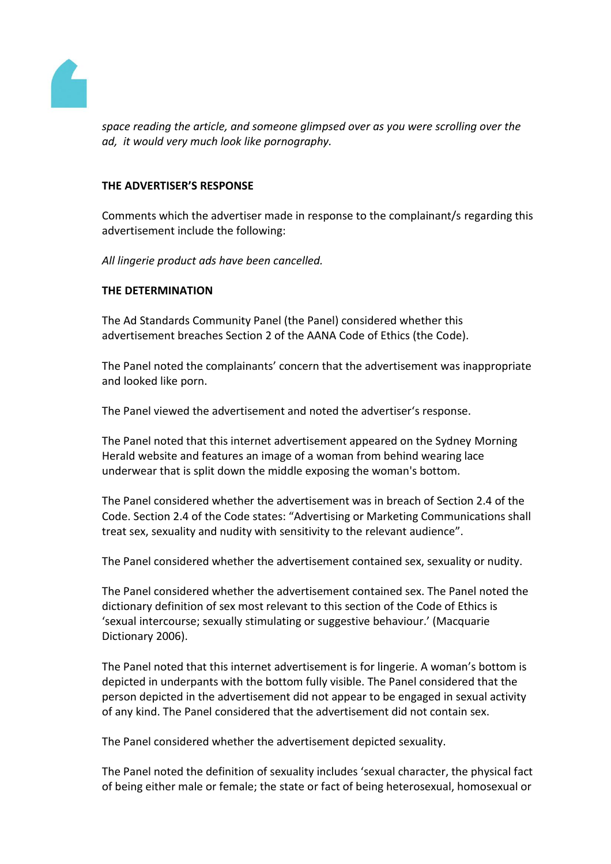

*space reading the article, and someone glimpsed over as you were scrolling over the ad, it would very much look like pornography.*

# **THE ADVERTISER'S RESPONSE**

Comments which the advertiser made in response to the complainant/s regarding this advertisement include the following:

*All lingerie product ads have been cancelled.*

### **THE DETERMINATION**

The Ad Standards Community Panel (the Panel) considered whether this advertisement breaches Section 2 of the AANA Code of Ethics (the Code).

The Panel noted the complainants' concern that the advertisement was inappropriate and looked like porn.

The Panel viewed the advertisement and noted the advertiser's response.

The Panel noted that this internet advertisement appeared on the Sydney Morning Herald website and features an image of a woman from behind wearing lace underwear that is split down the middle exposing the woman's bottom.

The Panel considered whether the advertisement was in breach of Section 2.4 of the Code. Section 2.4 of the Code states: "Advertising or Marketing Communications shall treat sex, sexuality and nudity with sensitivity to the relevant audience".

The Panel considered whether the advertisement contained sex, sexuality or nudity.

The Panel considered whether the advertisement contained sex. The Panel noted the dictionary definition of sex most relevant to this section of the Code of Ethics is 'sexual intercourse; sexually stimulating or suggestive behaviour.' (Macquarie Dictionary 2006).

The Panel noted that this internet advertisement is for lingerie. A woman's bottom is depicted in underpants with the bottom fully visible. The Panel considered that the person depicted in the advertisement did not appear to be engaged in sexual activity of any kind. The Panel considered that the advertisement did not contain sex.

The Panel considered whether the advertisement depicted sexuality.

The Panel noted the definition of sexuality includes 'sexual character, the physical fact of being either male or female; the state or fact of being heterosexual, homosexual or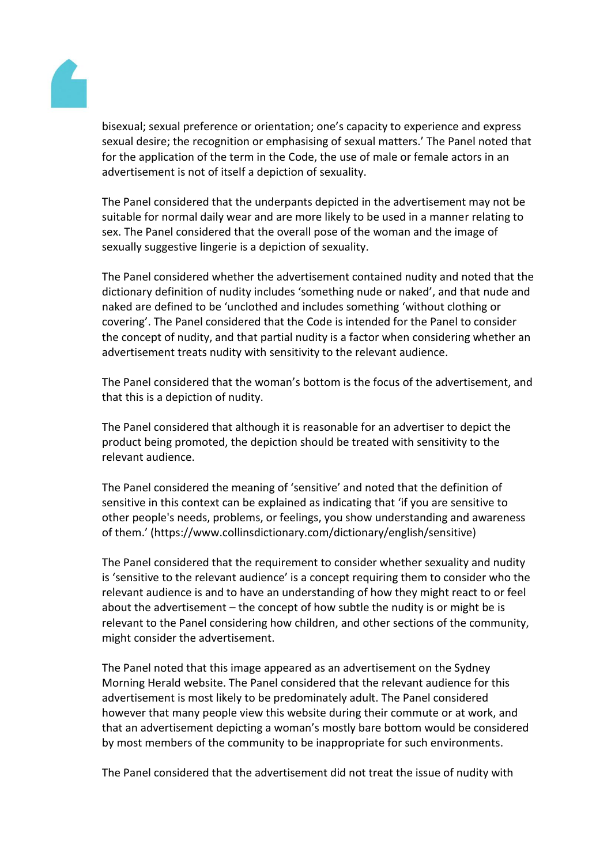

bisexual; sexual preference or orientation; one's capacity to experience and express sexual desire; the recognition or emphasising of sexual matters.' The Panel noted that for the application of the term in the Code, the use of male or female actors in an advertisement is not of itself a depiction of sexuality.

The Panel considered that the underpants depicted in the advertisement may not be suitable for normal daily wear and are more likely to be used in a manner relating to sex. The Panel considered that the overall pose of the woman and the image of sexually suggestive lingerie is a depiction of sexuality.

The Panel considered whether the advertisement contained nudity and noted that the dictionary definition of nudity includes 'something nude or naked', and that nude and naked are defined to be 'unclothed and includes something 'without clothing or covering'. The Panel considered that the Code is intended for the Panel to consider the concept of nudity, and that partial nudity is a factor when considering whether an advertisement treats nudity with sensitivity to the relevant audience.

The Panel considered that the woman's bottom is the focus of the advertisement, and that this is a depiction of nudity.

The Panel considered that although it is reasonable for an advertiser to depict the product being promoted, the depiction should be treated with sensitivity to the relevant audience.

The Panel considered the meaning of 'sensitive' and noted that the definition of sensitive in this context can be explained as indicating that 'if you are sensitive to other people's needs, problems, or feelings, you show understanding and awareness of them.' (https://www.collinsdictionary.com/dictionary/english/sensitive)

The Panel considered that the requirement to consider whether sexuality and nudity is 'sensitive to the relevant audience' is a concept requiring them to consider who the relevant audience is and to have an understanding of how they might react to or feel about the advertisement – the concept of how subtle the nudity is or might be is relevant to the Panel considering how children, and other sections of the community, might consider the advertisement.

The Panel noted that this image appeared as an advertisement on the Sydney Morning Herald website. The Panel considered that the relevant audience for this advertisement is most likely to be predominately adult. The Panel considered however that many people view this website during their commute or at work, and that an advertisement depicting a woman's mostly bare bottom would be considered by most members of the community to be inappropriate for such environments.

The Panel considered that the advertisement did not treat the issue of nudity with